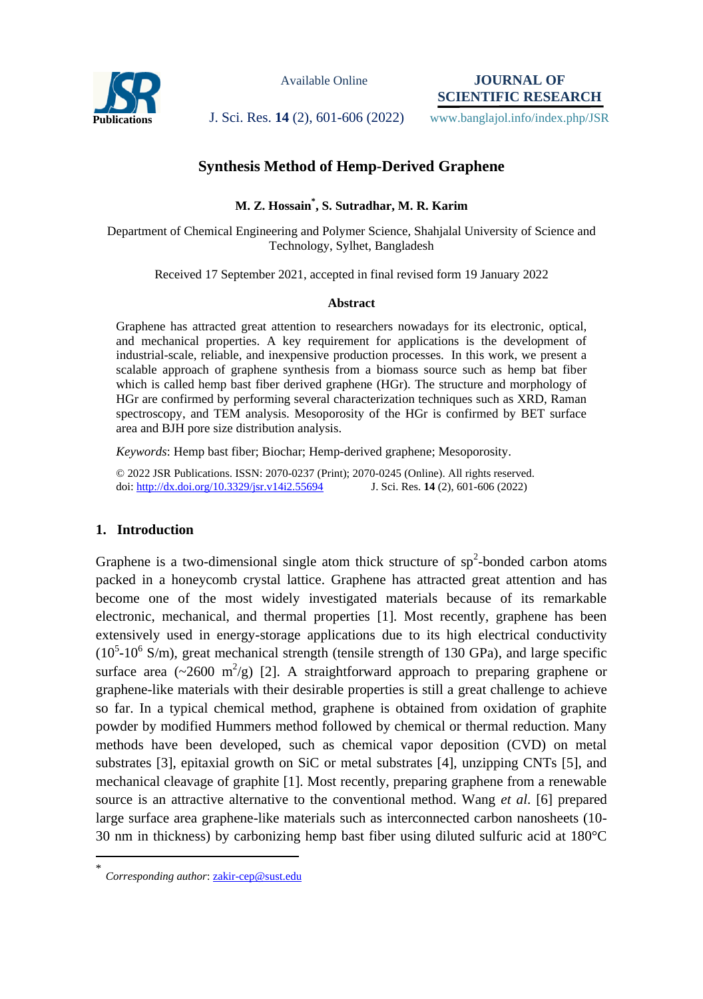

Available Online

**JOURNAL OF SCIENTIFIC RESEARCH**

Publications J. Sci. Res. 14 (2), 601-606 (2022) www.banglajol.info/index.php/JSR

# **Synthesis Method of Hemp-Derived Graphene**

**M. Z. Hossain\* , S. Sutradhar, M. R. Karim**

Department of Chemical Engineering and Polymer Science, Shahjalal University of Science and Technology, Sylhet, Bangladesh

Received 17 September 2021, accepted in final revised form 19 January 2022

## **Abstract**

Graphene has attracted great attention to researchers nowadays for its electronic, optical, and mechanical properties. A key requirement for applications is the development of industrial-scale, reliable, and inexpensive production processes. In this work, we present a scalable approach of graphene synthesis from a biomass source such as hemp bat fiber which is called hemp bast fiber derived graphene (HGr). The structure and morphology of HGr are confirmed by performing several characterization techniques such as XRD, Raman spectroscopy, and TEM analysis. Mesoporosity of the HGr is confirmed by BET surface area and BJH pore size distribution analysis.

*Keywords*: Hemp bast fiber; Biochar; Hemp-derived graphene; Mesoporosity.

© 2022 JSR Publications. ISSN: 2070-0237 (Print); 2070-0245 (Online). All rights reserved. doi: http://dx.doi.org/10.3329/jsr.v14i2.55694

## **1. Introduction**

Graphene is a two-dimensional single atom thick structure of  $sp^2$ -bonded carbon atoms packed in a honeycomb crystal lattice. Graphene has attracted great attention and has become one of the most widely investigated materials because of its remarkable electronic, mechanical, and thermal properties [1]. Most recently, graphene has been extensively used in energy-storage applications due to its high electrical conductivity  $(10<sup>5</sup> - 10<sup>6</sup>$  S/m), great mechanical strength (tensile strength of 130 GPa), and large specific surface area ( $\sim$ 2600 m<sup>2</sup>/g) [2]. A straightforward approach to preparing graphene or graphene-like materials with their desirable properties is still a great challenge to achieve so far. In a typical chemical method, graphene is obtained from oxidation of graphite powder by modified Hummers method followed by chemical or thermal reduction. Many methods have been developed, such as chemical vapor deposition (CVD) on metal substrates [3], epitaxial growth on SiC or metal substrates [4], unzipping CNTs [5], and mechanical cleavage of graphite [1]. Most recently, preparing graphene from a renewable source is an attractive alternative to the conventional method. Wang *et al*. [6] prepared large surface area graphene-like materials such as interconnected carbon nanosheets (10- 30 nm in thickness) by carbonizing hemp bast fiber using diluted sulfuric acid at 180°C

 $\overline{a}$ 

<sup>\*</sup> *Corresponding author*[: zakir-cep@sust.edu](mailto:zakir-cep@sust.edu)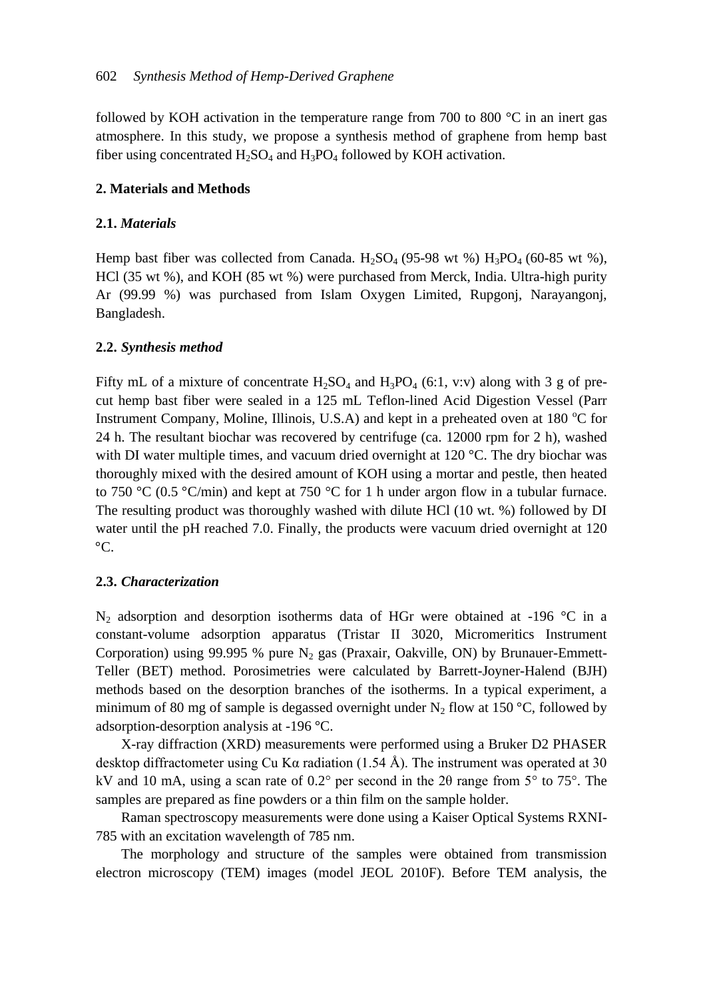followed by KOH activation in the temperature range from 700 to 800  $^{\circ}$ C in an inert gas atmosphere. In this study, we propose a synthesis method of graphene from hemp bast fiber using concentrated  $H_2SO_4$  and  $H_3PO_4$  followed by KOH activation.

# **2. Materials and Methods**

# **2.1.** *Materials*

Hemp bast fiber was collected from Canada. H<sub>2</sub>SO<sub>4</sub> (95-98 wt %) H<sub>3</sub>PO<sub>4</sub> (60-85 wt %), HCl (35 wt %), and KOH (85 wt %) were purchased from Merck, India. Ultra-high purity Ar (99.99 %) was purchased from Islam Oxygen Limited, Rupgonj, Narayangonj, Bangladesh.

# **2.2.** *Synthesis method*

Fifty mL of a mixture of concentrate  $H_2SO_4$  and  $H_3PO_4$  (6:1, v:v) along with 3 g of precut hemp bast fiber were sealed in a 125 mL Teflon-lined Acid Digestion Vessel (Parr Instrument Company, Moline, Illinois, U.S.A) and kept in a preheated oven at 180  $^{\circ}$ C for 24 h. The resultant biochar was recovered by centrifuge (ca. 12000 rpm for 2 h), washed with DI water multiple times, and vacuum dried overnight at  $120^{\circ}$ C. The dry biochar was thoroughly mixed with the desired amount of KOH using a mortar and pestle, then heated to 750 °C (0.5 °C/min) and kept at 750 °C for 1 h under argon flow in a tubular furnace. The resulting product was thoroughly washed with dilute HCl (10 wt. %) followed by DI water until the pH reached 7.0. Finally, the products were vacuum dried overnight at 120 °C.

## **2.3.** *Characterization*

 $N_2$  adsorption and desorption isotherms data of HGr were obtained at -196 °C in a constant-volume adsorption apparatus (Tristar II 3020, Micromeritics Instrument Corporation) using 99.995 % pure  $N_2$  gas (Praxair, Oakville, ON) by Brunauer-Emmett-Teller (BET) method. Porosimetries were calculated by Barrett-Joyner-Halend (BJH) methods based on the desorption branches of the isotherms. In a typical experiment, a minimum of 80 mg of sample is degassed overnight under  $N_2$  flow at 150 °C, followed by adsorption-desorption analysis at -196 °C.

X-ray diffraction (XRD) measurements were performed using a Bruker D2 PHASER desktop diffractometer using Cu K $\alpha$  radiation (1.54 Å). The instrument was operated at 30 kV and 10 mA, using a scan rate of  $0.2^{\circ}$  per second in the 2 $\theta$  range from 5 $^{\circ}$  to 75 $^{\circ}$ . The samples are prepared as fine powders or a thin film on the sample holder.

Raman spectroscopy measurements were done using a Kaiser Optical Systems RXNI-785 with an excitation wavelength of 785 nm.

The morphology and structure of the samples were obtained from transmission electron microscopy (TEM) images (model JEOL 2010F). Before TEM analysis, the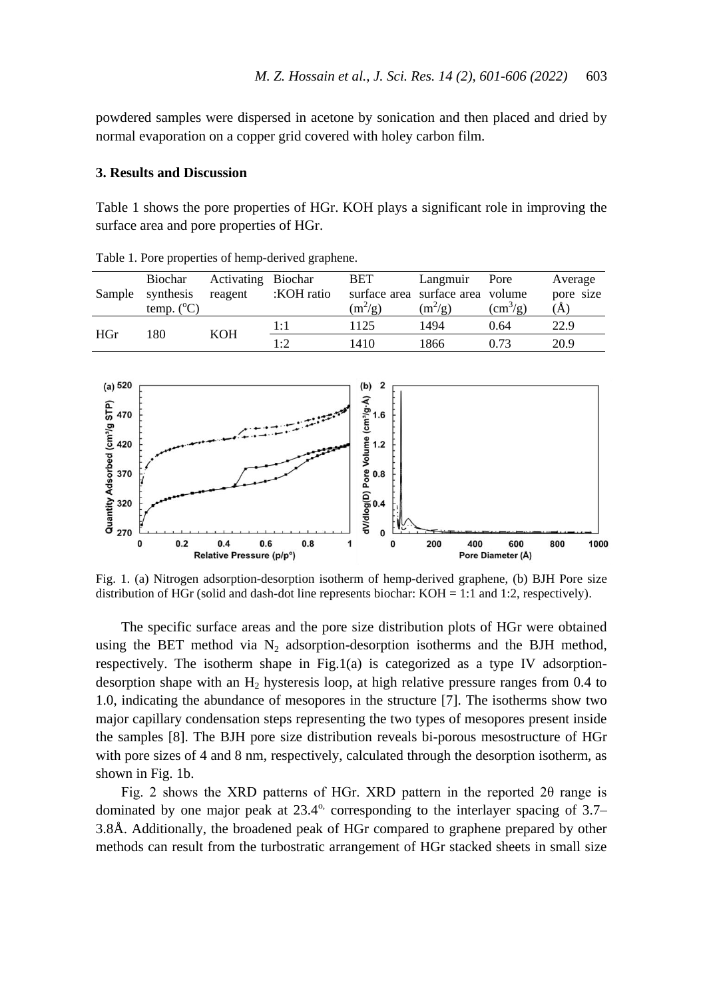powdered samples were dispersed in acetone by sonication and then placed and dried by normal evaporation on a copper grid covered with holey carbon film.

#### **3. Results and Discussion**

[Table 1](#page-2-0) shows the pore properties of HGr. KOH plays a significant role in improving the surface area and pore properties of HGr.

|     | <b>Biochar</b><br>Sample synthesis<br>temp. $(^{\circ}C)$ | Activating Biochar<br>reagent | :KOH ratio  | BET<br>$(m^2/g)$ | Langmuir<br>surface area surface area volume<br>$(m^2/g)$ | Pore<br>$\rm (cm^3/g)$ | Average<br>pore size<br>(A) |
|-----|-----------------------------------------------------------|-------------------------------|-------------|------------------|-----------------------------------------------------------|------------------------|-----------------------------|
| HGr | 180                                                       | <b>KOH</b>                    | 1:1         | 1125             | 1494                                                      | 0.64                   | 22.9                        |
|     |                                                           |                               | $1 \cdot 2$ | 1410             | 1866                                                      | 0.73                   | 20.9                        |

<span id="page-2-0"></span>Table 1. Pore properties of hemp-derived graphene.



Fig. 1. (a) Nitrogen adsorption-desorption isotherm of hemp-derived graphene, (b) BJH Pore size distribution of HGr (solid and dash-dot line represents biochar: KOH = 1:1 and 1:2, respectively).

The specific surface areas and the pore size distribution plots of HGr were obtained using the BET method via  $N_2$  adsorption-desorption isotherms and the BJH method, respectively. The isotherm shape in Fig.1(a) is categorized as a type IV adsorptiondesorption shape with an  $H_2$  hysteresis loop, at high relative pressure ranges from 0.4 to 1.0, indicating the abundance of mesopores in the structure [7]. The isotherms show two major capillary condensation steps representing the two types of mesopores present inside the samples [8]. The BJH pore size distribution reveals bi-porous mesostructure of HGr with pore sizes of 4 and 8 nm, respectively, calculated through the desorption isotherm, as shown in Fig. 1b.

Fig. 2 shows the XRD patterns of HGr. XRD pattern in the reported 2θ range is dominated by one major peak at  $23.4^\circ$ , corresponding to the interlayer spacing of  $3.7-$ 3.8Å. Additionally, the broadened peak of HGr compared to graphene prepared by other methods can result from the turbostratic arrangement of HGr stacked sheets in small size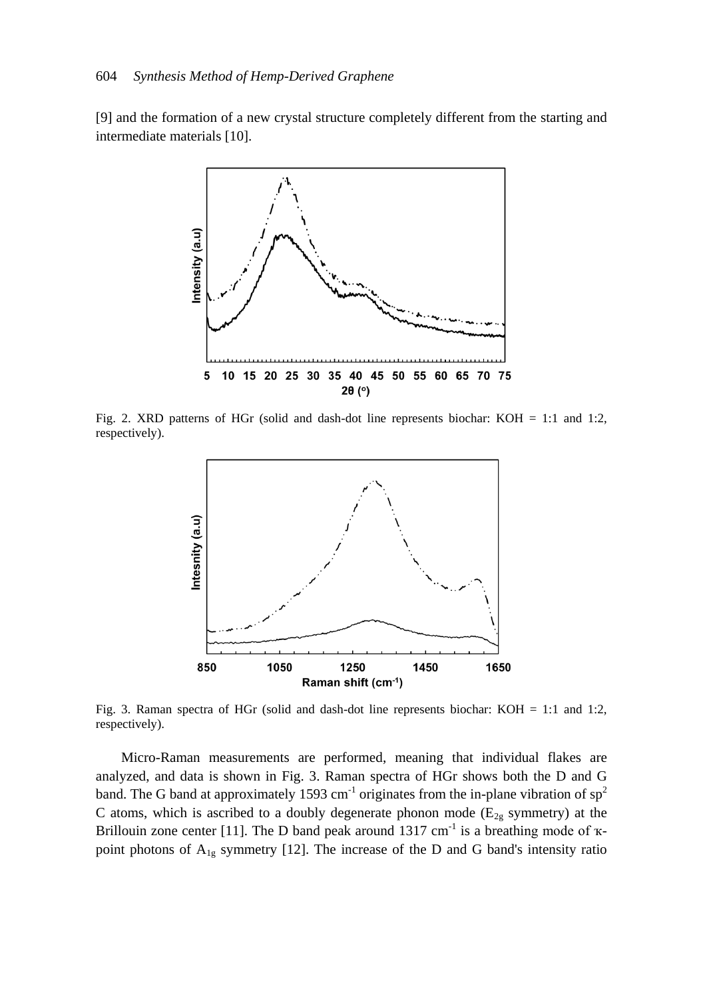[9] and the formation of a new crystal structure completely different from the starting and intermediate materials [10].



Fig. 2. XRD patterns of HGr (solid and dash-dot line represents biochar: KOH = 1:1 and 1:2, respectively).



Fig. 3. Raman spectra of HGr (solid and dash-dot line represents biochar: KOH = 1:1 and 1:2, respectively).

Micro-Raman measurements are performed, meaning that individual flakes are analyzed, and data is shown in Fig. 3. Raman spectra of HGr shows both the D and G band. The G band at approximately 1593 cm<sup>-1</sup> originates from the in-plane vibration of  $sp^2$ C atoms, which is ascribed to a doubly degenerate phonon mode ( $E_{2g}$  symmetry) at the Brillouin zone center [11]. The D band peak around 1317 cm<sup>-1</sup> is a breathing mode of  $\kappa$ point photons of  $A_{1g}$  symmetry [12]. The increase of the D and G band's intensity ratio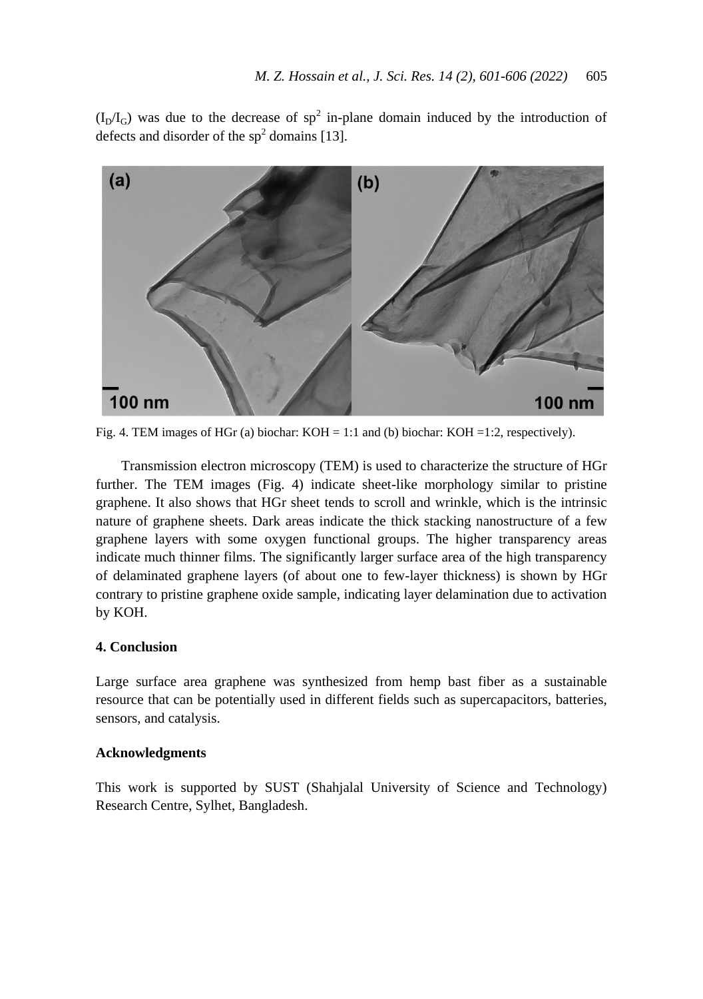$(I_D/I_G)$  was due to the decrease of sp<sup>2</sup> in-plane domain induced by the introduction of defects and disorder of the  $sp<sup>2</sup>$  domains [13].



Fig. 4. TEM images of HGr (a) biochar: KOH = 1:1 and (b) biochar: KOH = 1:2, respectively).

Transmission electron microscopy (TEM) is used to characterize the structure of HGr further. The TEM images (Fig. 4) indicate sheet-like morphology similar to pristine graphene. It also shows that HGr sheet tends to scroll and wrinkle, which is the intrinsic nature of graphene sheets. Dark areas indicate the thick stacking nanostructure of a few graphene layers with some oxygen functional groups. The higher transparency areas indicate much thinner films. The significantly larger surface area of the high transparency of delaminated graphene layers (of about one to few-layer thickness) is shown by HGr contrary to pristine graphene oxide sample, indicating layer delamination due to activation by KOH.

## **4. Conclusion**

Large surface area graphene was synthesized from hemp bast fiber as a sustainable resource that can be potentially used in different fields such as supercapacitors, batteries, sensors, and catalysis.

## **Acknowledgments**

This work is supported by SUST (Shahjalal University of Science and Technology) Research Centre, Sylhet, Bangladesh.